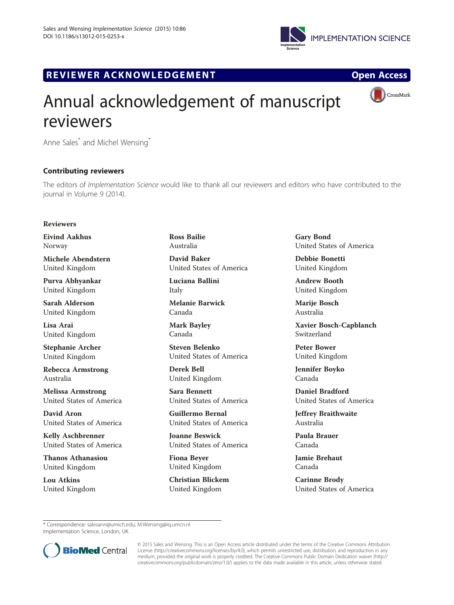

## R EVI EW E R ACKNOW L EDG EM EN T Op[en](http://crossmark.crossref.org/dialog/?doi=10.1186/s13012-015-0253-x&domain=pdf) [Access](http://crossmark.crossref.org/dialog/?doi=10.1186/s13012-015-0253-x&domain=pdf)





# Annual acknowledgement of manuscript reviewers

Anne Sales\* and Michel Wensing\*

### Contributing reviewers

The editors of Implementation Science would like to thank all our reviewers and editors who have contributed to the journal in Volume 9 (2014).

### Reviewers

Eivind Aakhus Norway

Michele Abendstern United Kingdom

Purva Abhyankar United Kingdom

Sarah Alderson United Kingdom

Lisa Arai United Kingdom

Stephanie Archer United Kingdom

Rebecca Armstrong Australia

Melissa Armstrong United States of America

David Aron United States of America

Kelly Aschbrenner United States of America

Thanos Athanasiou United Kingdom

Lou Atkins United Kingdom Ross Bailie Australia

David Baker United States of America

Luciana Ballini Italy

Melanie Barwick Canada

Mark Bayley Canada

Steven Belenko United States of America

Derek Bell United Kingdom

Sara Bennett United States of America

Guillermo Bernal United States of America

Joanne Beswick United States of America

Fiona Beyer United Kingdom

Christian Blickem United Kingdom

Gary Bond United States of America

Debbie Bonetti United Kingdom

Andrew Booth United Kingdom

Marije Bosch Australia

Xavier Bosch-Capblanch Switzerland

Peter Bower United Kingdom

Jennifer Boyko Canada

Daniel Bradford United States of America

Jeffrey Braithwaite Australia

Paula Brauer Canada

Jamie Brehaut Canada

Carinne Brody United States of America

\* Correspondence: [salesann@umich.edu;](mailto:salesann@umich.edu) [M.Wensing@iq.umcn.nl](mailto:M.Wensing@iq.umcn.nl) Implementation Science, London, UK



© 2015 Sales and Wensing. This is an Open Access article distributed under the terms of the Creative Commons Attribution License (<http://creativecommons.org/licenses/by/4.0>), which permits unrestricted use, distribution, and reproduction in any medium, provided the original work is properly credited. The Creative Commons Public Domain Dedication waiver [\(http://](http://creativecommons.org/publicdomain/zero/1.0/) [creativecommons.org/publicdomain/zero/1.0/\)](http://creativecommons.org/publicdomain/zero/1.0/) applies to the data made available in this article, unless otherwise stated.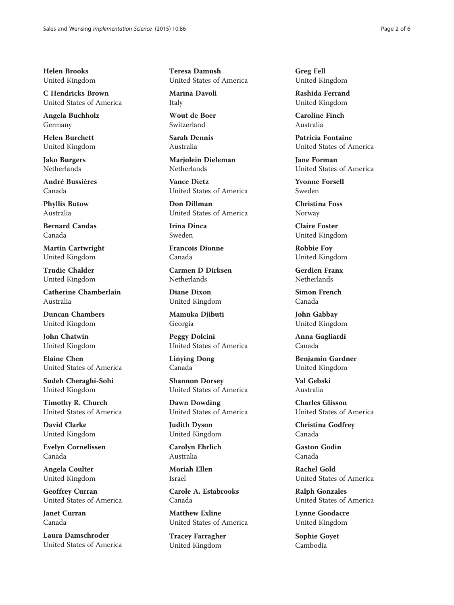Helen Brooks United Kingdom

C Hendricks Brown United States of America

Angela Buchholz Germany

Helen Burchett United Kingdom

Jako Burgers Netherlands

André Bussières Canada

Phyllis Butow Australia

Bernard Candas Canada

Martin Cartwright United Kingdom

Trudie Chalder United Kingdom

Catherine Chamberlain Australia

Duncan Chambers United Kingdom

John Chatwin United Kingdom

Elaine Chen United States of America

Sudeh Cheraghi-Sohi United Kingdom

Timothy R. Church United States of America

David Clarke United Kingdom

Evelyn Cornelissen Canada

Angela Coulter United Kingdom

Geoffrey Curran United States of America

Janet Curran Canada

Laura Damschroder United States of America Teresa Damush United States of America

Marina Davoli Italy

Wout de Boer Switzerland

Sarah Dennis Australia

Marjolein Dieleman Netherlands

Vance Dietz United States of America

Don Dillman United States of America

Irina Dinca Sweden

Francois Dionne Canada

Carmen D Dirksen Netherlands

Diane Dixon United Kingdom

Mamuka Djibuti Georgia

Peggy Dolcini United States of America

Linying Dong Canada

Shannon Dorsey United States of America

Dawn Dowding United States of America

Judith Dyson United Kingdom

Carolyn Ehrlich Australia

Moriah Ellen Israel

Carole A. Estabrooks Canada

Matthew Exline United States of America

Tracey Farragher United Kingdom

Greg Fell United Kingdom

Rashida Ferrand United Kingdom

Caroline Finch Australia

Patricia Fontaine United States of America

Jane Forman United States of America

Yvonne Forsell Sweden

Christina Foss Norway

Claire Foster United Kingdom

Robbie Foy United Kingdom

Gerdien Franx Netherlands

Simon French Canada

John Gabbay United Kingdom

Anna Gagliardi Canada

Benjamin Gardner United Kingdom

Val Gebski Australia

Charles Glisson United States of America

Christina Godfrey Canada

Gaston Godin Canada

Rachel Gold United States of America

Ralph Gonzales United States of America

Lynne Goodacre United Kingdom

Sophie Goyet Cambodia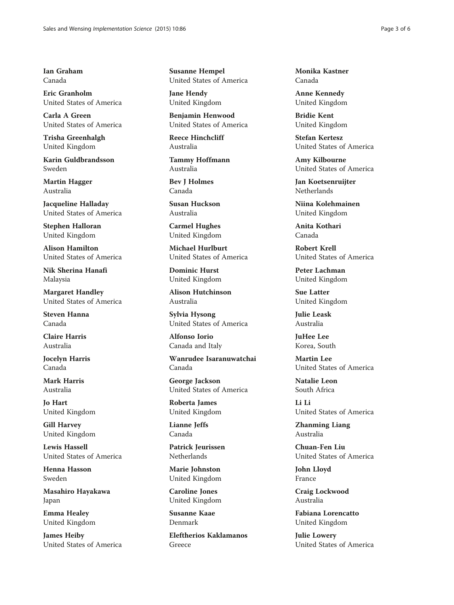Ian Graham Canada

Eric Granholm United States of America

Carla A Green United States of America

Trisha Greenhalgh United Kingdom

Karin Guldbrandsson Sweden

Martin Hagger Australia

Jacqueline Halladay United States of America

Stephen Halloran United Kingdom

Alison Hamilton United States of America

Nik Sherina Hanafi Malaysia

Margaret Handley United States of America

Steven Hanna Canada

Claire Harris Australia

Jocelyn Harris Canada

Mark Harris Australia

Jo Hart United Kingdom

Gill Harvey United Kingdom

Lewis Hassell United States of America

Henna Hasson Sweden

Masahiro Hayakawa Japan

Emma Healey United Kingdom

James Heiby United States of America Susanne Hempel United States of America

Jane Hendy United Kingdom

Benjamin Henwood United States of America

Reece Hinchcliff Australia

Tammy Hoffmann Australia

Bev J Holmes Canada

Susan Huckson Australia

Carmel Hughes United Kingdom

Michael Hurlburt United States of America

Dominic Hurst United Kingdom

Alison Hutchinson Australia

Sylvia Hysong United States of America

Alfonso Iorio Canada and Italy

Wanrudee Isaranuwatchai Canada

George Jackson United States of America

Roberta James United Kingdom

Lianne Jeffs Canada

Patrick Jeurissen Netherlands

Marie Johnston United Kingdom

Caroline Jones United Kingdom

Susanne Kaae Denmark

Eleftherios Kaklamanos Greece

Monika Kastner Canada

Anne Kennedy United Kingdom

Bridie Kent United Kingdom

Stefan Kertesz United States of America

Amy Kilbourne United States of America

Jan Koetsenruijter Netherlands

Niina Kolehmainen United Kingdom

Anita Kothari Canada

Robert Krell United States of America

Peter Lachman United Kingdom

Sue Latter United Kingdom

Julie Leask Australia

JuHee Lee Korea, South

Martin Lee United States of America

Natalie Leon South Africa

Li Li United States of America

Zhanming Liang Australia

Chuan-Fen Liu United States of America

John Lloyd France

Craig Lockwood Australia

Fabiana Lorencatto United Kingdom

Julie Lowery United States of America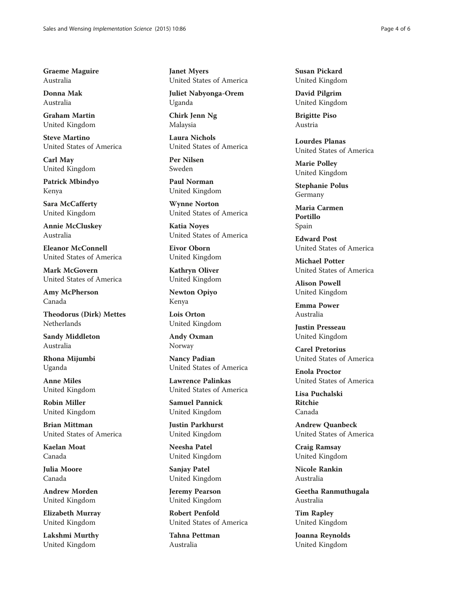Graeme Maguire Australia

Donna Mak Australia

Graham Martin United Kingdom

Steve Martino United States of America

Carl May United Kingdom

Patrick Mbindyo Kenya

Sara McCafferty United Kingdom

Annie McCluskey Australia

Eleanor McConnell United States of America

Mark McGovern United States of America

Amy McPherson Canada

Theodorus (Dirk) Mettes Netherlands

Sandy Middleton Australia

Rhona Mijumbi Uganda

Anne Miles United Kingdom

Robin Miller United Kingdom

Brian Mittman United States of America

Kaelan Moat Canada

Julia Moore Canada

Andrew Morden United Kingdom

Elizabeth Murray United Kingdom

Lakshmi Murthy United Kingdom

Janet Myers United States of America

Juliet Nabyonga-Orem Uganda

Chirk Jenn Ng Malaysia

Laura Nichols United States of America

Per Nilsen Sweden

Paul Norman United Kingdom

Wynne Norton United States of America

Katia Noyes United States of America

Eivor Oborn United Kingdom

Kathryn Oliver United Kingdom

Newton Opiyo Kenya

Lois Orton United Kingdom

Andy Oxman Norway

Nancy Padian United States of America

Lawrence Palinkas United States of America

Samuel Pannick United Kingdom

Justin Parkhurst United Kingdom

Neesha Patel United Kingdom

Sanjay Patel United Kingdom

Jeremy Pearson United Kingdom

Robert Penfold United States of America

Tahna Pettman Australia

Susan Pickard United Kingdom

David Pilgrim United Kingdom

Brigitte Piso Austria

Lourdes Planas United States of America

Marie Polley United Kingdom

Stephanie Polus Germany

Maria Carmen Portillo Spain

Edward Post United States of America

Michael Potter United States of America

Alison Powell United Kingdom

Emma Power Australia

Justin Presseau United Kingdom

Carel Pretorius United States of America

Enola Proctor United States of America

Lisa Puchalski Ritchie Canada

Andrew Quanbeck United States of America

Craig Ramsay United Kingdom

Nicole Rankin Australia

Geetha Ranmuthugala Australia

Tim Rapley United Kingdom

Joanna Reynolds United Kingdom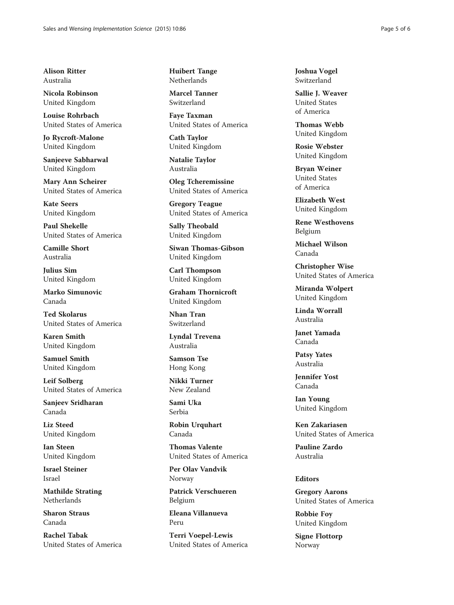Alison Ritter Australia

Nicola Robinson United Kingdom

Louise Rohrbach United States of America

Jo Rycroft-Malone United Kingdom

Sanjeeve Sabharwal United Kingdom

Mary Ann Scheirer United States of America

Kate Seers United Kingdom

Paul Shekelle United States of America

Camille Short Australia

Julius Sim United Kingdom

Marko Simunovic Canada

Ted Skolarus United States of America

Karen Smith United Kingdom

Samuel Smith United Kingdom

Leif Solberg United States of America

Sanjeev Sridharan Canada

Liz Steed United Kingdom

Ian Steen United Kingdom

Israel Steiner Israel

Mathilde Strating Netherlands

Sharon Straus Canada

Rachel Tabak United States of America Huibert Tange Netherlands

Marcel Tanner Switzerland

Faye Taxman United States of America

Cath Taylor United Kingdom

Natalie Taylor Australia

Oleg Tcheremissine United States of America

Gregory Teague United States of America

Sally Theobald United Kingdom

Siwan Thomas-Gibson United Kingdom

Carl Thompson United Kingdom

Graham Thornicroft United Kingdom

Nhan Tran Switzerland

Lyndal Trevena Australia

Samson Tse Hong Kong

Nikki Turner New Zealand

Sami Uka Serbia

Robin Urquhart Canada

Thomas Valente United States of America

Per Olav Vandvik Norway

Patrick Verschueren Belgium

Eleana Villanueva Peru

Terri Voepel-Lewis United States of America Joshua Vogel Switzerland

Sallie J. Weaver United States of America

Thomas Webb United Kingdom

Rosie Webster United Kingdom

Bryan Weiner United States of America

Elizabeth West United Kingdom

Rene Westhovens Belgium

Michael Wilson Canada

Christopher Wise United States of America

Miranda Wolpert United Kingdom

Linda Worrall Australia

Janet Yamada Canada

Patsy Yates Australia

Jennifer Yost Canada

Ian Young United Kingdom

Ken Zakariasen United States of America

Pauline Zardo Australia

#### Editors

Gregory Aarons United States of America

Robbie Foy United Kingdom

Signe Flottorp Norway